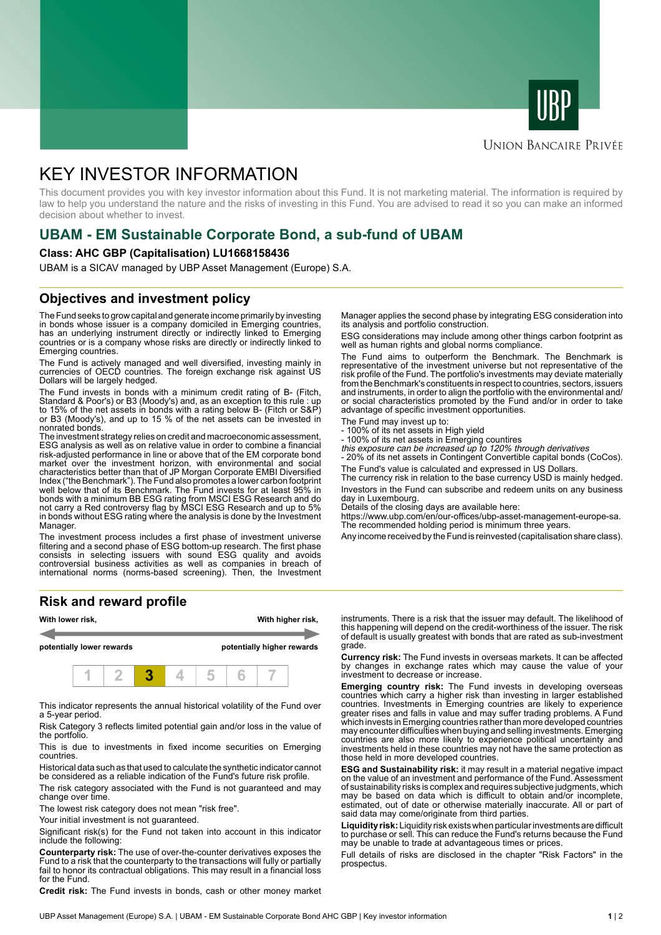



# **UNION BANCAIRE PRIVÉE**

# KEY INVESTOR INFORMATION

This document provides you with key investor information about this Fund. It is not marketing material. The information is required by law to help you understand the nature and the risks of investing in this Fund. You are advised to read it so you can make an informed decision about whether to invest.

# **UBAM - EM Sustainable Corporate Bond, a sub-fund of UBAM**

#### **Class: AHC GBP (Capitalisation) LU1668158436**

UBAM is a SICAV managed by UBP Asset Management (Europe) S.A.

# **Objectives and investment policy**

The Fund seeks to grow capital and generate income primarily by investing in bonds whose issuer is a company domiciled in Emerging countries, has an underlying instrument directly or indirectly linked to Emerging countries or is a company whose risks are directly or indirectly linked to Emerging countries.

The Fund is actively managed and well diversified, investing mainly in currencies of OECD countries. The foreign exchange risk against US Dollars will be largely hedged.

The Fund invests in bonds with a minimum credit rating of B- (Fitch, Standard & Poor's) or B3 (Moody's) and, as an exception to this rule : up to 15% of the net assets in bonds with a rating below B- (Fitch or S&P) or B3 (Moody's), and up to 15 % of the net assets can be invested in nonrated bonds.

The investment strategy relies on credit and macroeconomic assessment, ESG analysis as well as on relative value in order to combine a financial risk-adjusted performance in line or above that of the EM corporate bond market over the investment horizon, with environmental and social characteristics better than that of JP Morgan Corporate EMBI Diversified Index ("the Benchmark"). The Fund also promotes a lower carbon footprint well below that of its Benchmark. The Fund invests for at least 95% in bonds with a minimum BB ESG rating from MSCI ESG Research and do not carry a Red controversy flag by MSCI ESG Research and up to 5% in bonds without ESG rating where the analysis is done by the Investment Manager.

The investment process includes a first phase of investment universe filtering and a second phase of ESG bottom-up research. The first phase consists in selecting issuers with sound ESG quality and avoids controversial business activities as well as companies in breach of international norms (norms-based screening). Then, the Investment

# **Risk and reward profile**



This indicator represents the annual historical volatility of the Fund over a 5-year period.

Risk Category 3 reflects limited potential gain and/or loss in the value of the portfolio.

This is due to investments in fixed income securities on Emerging countries.

Historical data such as that used to calculate the synthetic indicator cannot be considered as a reliable indication of the Fund's future risk profile.

The risk category associated with the Fund is not guaranteed and may change over time.

The lowest risk category does not mean "risk free".

Your initial investment is not guaranteed.

Significant risk(s) for the Fund not taken into account in this indicator include the following:

**Counterparty risk:** The use of over-the-counter derivatives exposes the Fund to a risk that the counterparty to the transactions will fully or partially fail to honor its contractual obligations. This may result in a financial loss for the Fund.

**Credit risk:** The Fund invests in bonds, cash or other money market

Manager applies the second phase by integrating ESG consideration into its analysis and portfolio construction.

ESG considerations may include among other things carbon footprint as well as human rights and global norms compliance.

The Fund aims to outperform the Benchmark. The Benchmark is representative of the investment universe but not representative of the risk profile of the Fund. The portfolio's investments may deviate materially from the Benchmark's constituents in respect to countries, sectors, issuers and instruments, in order to align the portfolio with the environmental and/ or social characteristics promoted by the Fund and/or in order to take advantage of specific investment opportunities.

- The Fund may invest up to:
- 100% of its net assets in High yield
- 100% of its net assets in Emerging countires this exposure can be increased up to 120% through derivatives
- 

- 20% of its net assets in Contingent Convertible capital bonds (CoCos). The Fund's value is calculated and expressed in US Dollars.

The currency risk in relation to the base currency USD is mainly hedged. Investors in the Fund can subscribe and redeem units on any business day in Luxembourg.

Details of the closing days are available here:

https://www.ubp.com/en/our-offices/ubp-asset-management-europe-sa. The recommended holding period is minimum three years.

Any income received by the Fund is reinvested (capitalisation share class).

instruments. There is a risk that the issuer may default. The likelihood of this happening will depend on the credit-worthiness of the issuer. The risk of default is usually greatest with bonds that are rated as sub-investment grade.

**Currency risk:** The Fund invests in overseas markets. It can be affected by changes in exchange rates which may cause the value of your investment to decrease or increase.

**Emerging country risk:** The Fund invests in developing overseas countries which carry a higher risk than investing in larger established countries. Investments in Emerging countries are likely to experience greater rises and falls in value and may suffer trading problems. A Fund which invests in Emerging countries rather than more developed countries may encounter difficulties when buying and selling investments. Emerging countries are also more likely to experience political uncertainty and investments held in these countries may not have the same protection as those held in more developed countries.

**ESG and Sustainability risk:** it may result in a material negative impact on the value of an investment and performance of the Fund. Assessment of sustainability risks is complex and requires subjective judgments, which may be based on data which is difficult to obtain and/or incomplete, estimated, out of date or otherwise materially inaccurate. All or part of said data may come/originate from third parties.

**Liquidity risk:** Liquidity risk exists when particular investments are difficult to purchase or sell. This can reduce the Fund's returns because the Fund may be unable to trade at advantageous times or prices.

Full details of risks are disclosed in the chapter "Risk Factors" in the prospectus.